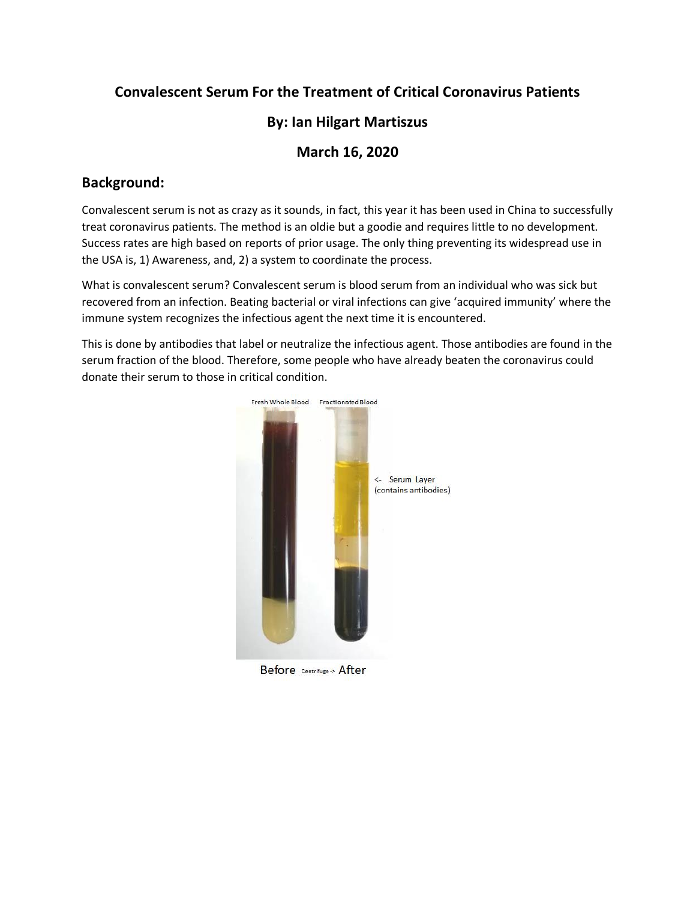# **Convalescent Serum For the Treatment of Critical Coronavirus Patients**

# **By: Ian Hilgart Martiszus**

#### **March 16, 2020**

### **Background:**

Convalescent serum is not as crazy as it sounds, in fact, this year it has been used in China to successfully treat coronavirus patients. The method is an oldie but a goodie and requires little to no development. Success rates are high based on reports of prior usage. The only thing preventing its widespread use in the USA is, 1) Awareness, and, 2) a system to coordinate the process.

What is convalescent serum? Convalescent serum is blood serum from an individual who was sick but recovered from an infection. Beating bacterial or viral infections can give 'acquired immunity' where the immune system recognizes the infectious agent the next time it is encountered.

This is done by antibodies that label or neutralize the infectious agent. Those antibodies are found in the serum fraction of the blood. Therefore, some people who have already beaten the coronavirus could donate their serum to those in critical condition.



Before Centrifuge > After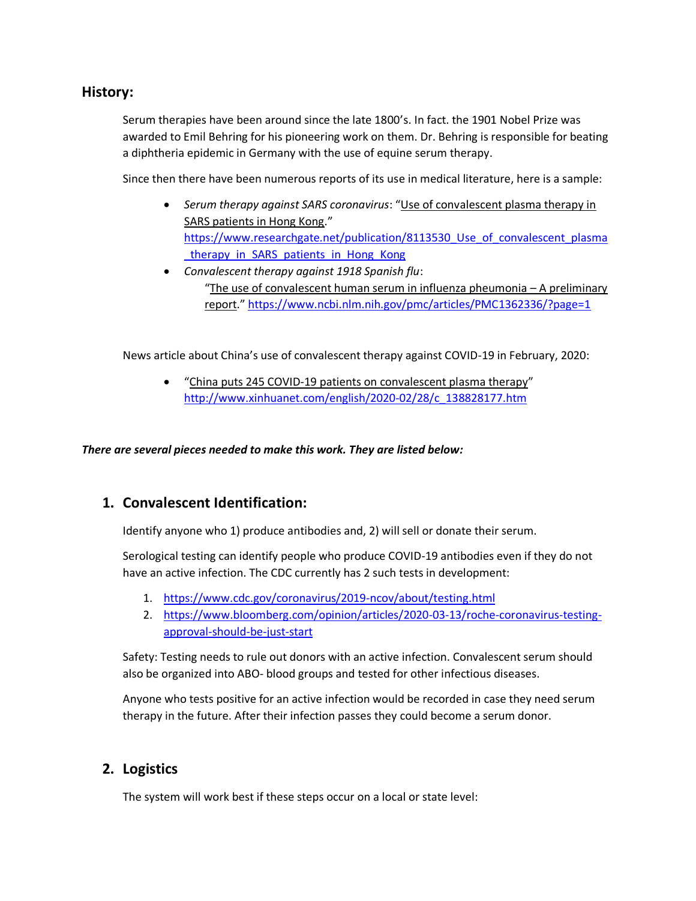#### **History:**

Serum therapies have been around since the late 1800's. In fact. the 1901 Nobel Prize was awarded to Emil Behring for his pioneering work on them. Dr. Behring is responsible for beating a diphtheria epidemic in Germany with the use of equine serum therapy.

Since then there have been numerous reports of its use in medical literature, here is a sample:

- *Serum therapy against SARS coronavirus*: "Use of convalescent plasma therapy in SARS patients in Hong Kong." https://www.researchgate.net/publication/8113530 Use of convalescent plasma therapy in SARS patients in Hong Kong
- *Convalescent therapy against 1918 Spanish flu*: "The use of convalescent human serum in influenza pheumonia – A preliminary report." <https://www.ncbi.nlm.nih.gov/pmc/articles/PMC1362336/?page=1>

News article about China's use of convalescent therapy against COVID-19 in February, 2020:

• "China puts 245 COVID-19 patients on convalescent plasma therapy" [http://www.xinhuanet.com/english/2020-02/28/c\\_138828177.htm](http://www.xinhuanet.com/english/2020-02/28/c_138828177.htm)

*There are several pieces needed to make this work. They are listed below:*

#### **1. Convalescent Identification:**

Identify anyone who 1) produce antibodies and, 2) will sell or donate their serum.

Serological testing can identify people who produce COVID-19 antibodies even if they do not have an active infection. The CDC currently has 2 such tests in development:

- 1. <https://www.cdc.gov/coronavirus/2019-ncov/about/testing.html>
- 2. [https://www.bloomberg.com/opinion/articles/2020-03-13/roche-coronavirus-testing](https://www.bloomberg.com/opinion/articles/2020-03-13/roche-coronavirus-testing-approval-should-be-just-start)[approval-should-be-just-start](https://www.bloomberg.com/opinion/articles/2020-03-13/roche-coronavirus-testing-approval-should-be-just-start)

Safety: Testing needs to rule out donors with an active infection. Convalescent serum should also be organized into ABO- blood groups and tested for other infectious diseases.

Anyone who tests positive for an active infection would be recorded in case they need serum therapy in the future. After their infection passes they could become a serum donor.

#### **2. Logistics**

The system will work best if these steps occur on a local or state level: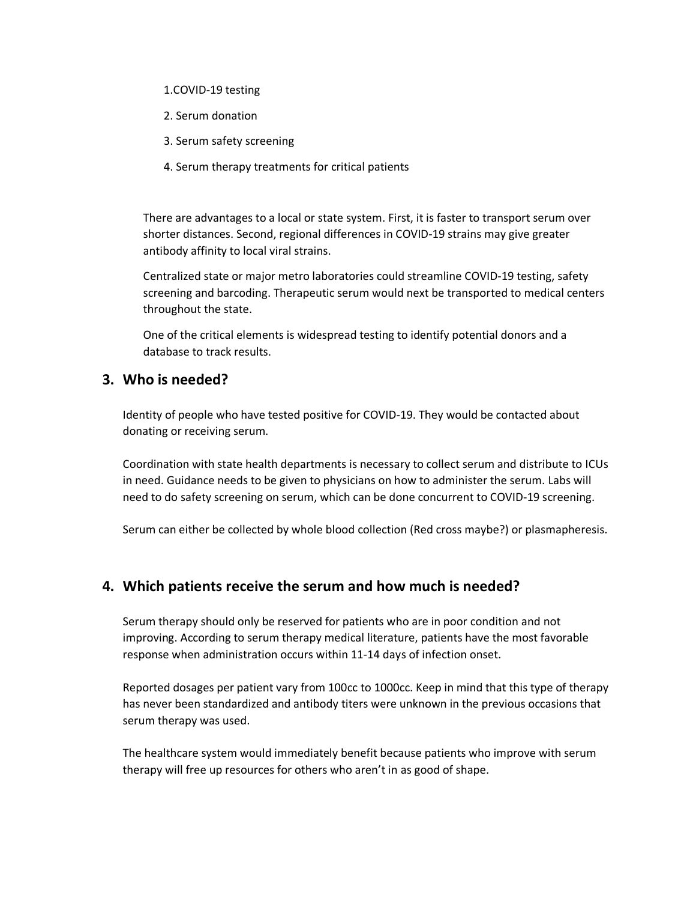- 1.COVID-19 testing
- 2. Serum donation
- 3. Serum safety screening
- 4. Serum therapy treatments for critical patients

There are advantages to a local or state system. First, it is faster to transport serum over shorter distances. Second, regional differences in COVID-19 strains may give greater antibody affinity to local viral strains.

Centralized state or major metro laboratories could streamline COVID-19 testing, safety screening and barcoding. Therapeutic serum would next be transported to medical centers throughout the state.

One of the critical elements is widespread testing to identify potential donors and a database to track results.

#### **3. Who is needed?**

Identity of people who have tested positive for COVID-19. They would be contacted about donating or receiving serum.

Coordination with state health departments is necessary to collect serum and distribute to ICUs in need. Guidance needs to be given to physicians on how to administer the serum. Labs will need to do safety screening on serum, which can be done concurrent to COVID-19 screening.

Serum can either be collected by whole blood collection (Red cross maybe?) or plasmapheresis.

#### **4. Which patients receive the serum and how much is needed?**

Serum therapy should only be reserved for patients who are in poor condition and not improving. According to serum therapy medical literature, patients have the most favorable response when administration occurs within 11-14 days of infection onset.

Reported dosages per patient vary from 100cc to 1000cc. Keep in mind that this type of therapy has never been standardized and antibody titers were unknown in the previous occasions that serum therapy was used.

The healthcare system would immediately benefit because patients who improve with serum therapy will free up resources for others who aren't in as good of shape.